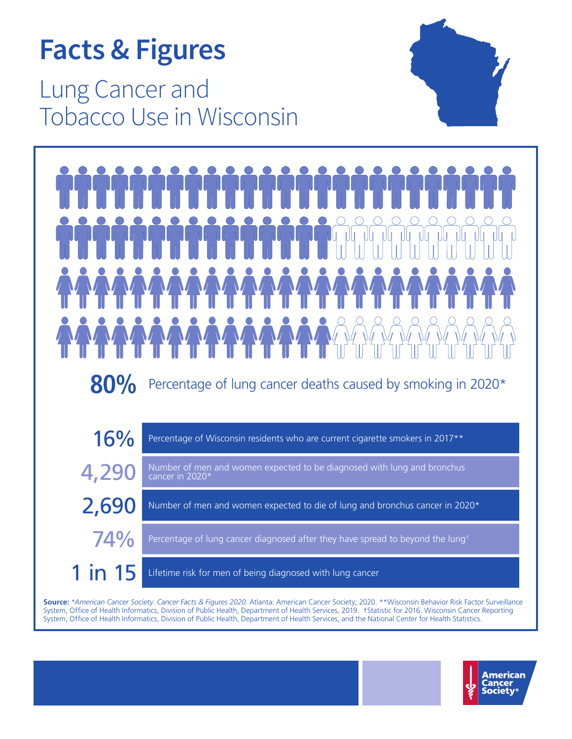# **Facts & Figures**

Lung Cancer and Tobacco Use in Wisconsin





**Source:** \**American Cancer Society. Cancer Facts & Figures 2020*. Atlanta: American Cancer Society; 2020. \*\*Wisconsin Behavior Risk Factor Surveillance System, Office of Health Informatics, Division of Public Health, Department of Health Services, 2019. †Statistic for 2016. Wisconsin Cancer Reporting System, Office of Health Informatics, Division of Public Health, Department of Health Services, and the National Center for Health Statistics.

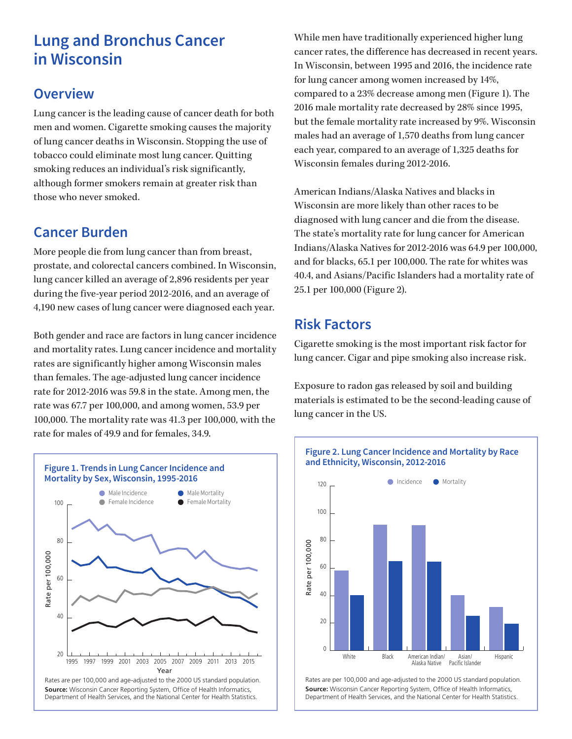# **Lung and Bronchus Cancer in Wisconsin**

#### **Overview**

Lung cancer is the leading cause of cancer death for both men and women. Cigarette smoking causes the majority of lung cancer deaths in Wisconsin. Stopping the use of tobacco could eliminate most lung cancer. Quitting smoking reduces an individual's risk significantly, although former smokers remain at greater risk than those who never smoked.

## **Cancer Burden**

More people die from lung cancer than from breast, prostate, and colorectal cancers combined. In Wisconsin, lung cancer killed an average of 2,896 residents per year during the five-year period 2012-2016, and an average of 4,190 new cases of lung cancer were diagnosed each year.

Both gender and race are factors in lung cancer incidence and mortality rates. Lung cancer incidence and mortality rates are significantly higher among Wisconsin males than females. The age-adjusted lung cancer incidence rate for 2012-2016 was 59.8 in the state. Among men, the rate was 67.7 per 100,000, and among women, 53.9 per 100,000. The mortality rate was 41.3 per 100,000, with the rate for males of 49.9 and for females, 34.9.



Rates are per 100,000 and age-adjusted to the 2000 US standard population. **Source:** Wisconsin Cancer Reporting System, Office of Health Informatics, Department of Health Services, and the National Center for Health Statistics.

While men have traditionally experienced higher lung cancer rates, the difference has decreased in recent years. In Wisconsin, between 1995 and 2016, the incidence rate for lung cancer among women increased by 14%, compared to a 23% decrease among men (Figure 1). The 2016 male mortality rate decreased by 28% since 1995, but the female mortality rate increased by 9%. Wisconsin males had an average of 1,570 deaths from lung cancer each year, compared to an average of 1,325 deaths for Wisconsin females during 2012-2016.

American Indians/Alaska Natives and blacks in Wisconsin are more likely than other races to be diagnosed with lung cancer and die from the disease. The state's mortality rate for lung cancer for American Indians/Alaska Natives for 2012-2016 was 64.9 per 100,000, and for blacks, 65.1 per 100,000. The rate for whites was 40.4, and Asians/Pacific Islanders had a mortality rate of 25.1 per 100,000 (Figure 2).

#### **Risk Factors**

Cigarette smoking is the most important risk factor for lung cancer. Cigar and pipe smoking also increase risk.

Exposure to radon gas released by soil and building materials is estimated to be the second-leading cause of lung cancer in the US.



Rates are per 100,000 and age-adjusted to the 2000 US standard population. **Source:** Wisconsin Cancer Reporting System, Office of Health Informatics, Department of Health Services, and the National Center for Health Statistics.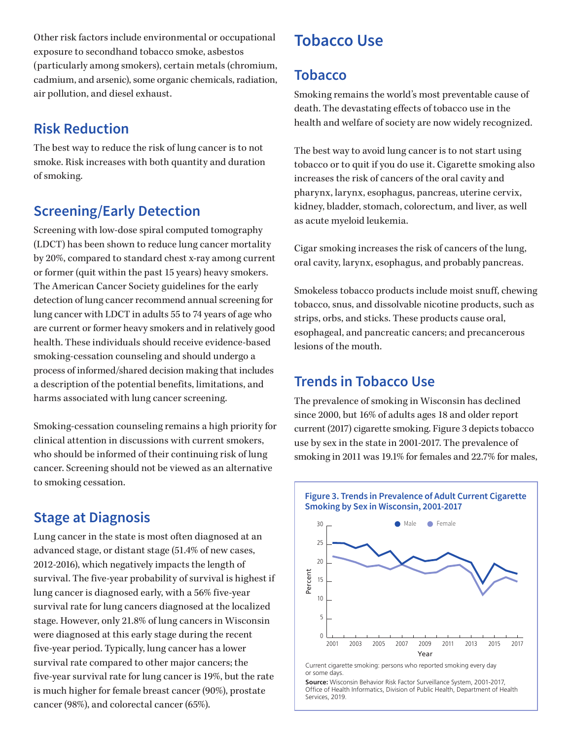Other risk factors include environmental or occupational exposure to secondhand tobacco smoke, asbestos (particularly among smokers), certain metals (chromium, cadmium, and arsenic), some organic chemicals, radiation, air pollution, and diesel exhaust.

### **Risk Reduction**

The best way to reduce the risk of lung cancer is to not smoke. Risk increases with both quantity and duration of smoking.

### **Screening/Early Detection**

Screening with low-dose spiral computed tomography (LDCT) has been shown to reduce lung cancer mortality by 20%, compared to standard chest x-ray among current or former (quit within the past 15 years) heavy smokers. The American Cancer Society guidelines for the early detection of lung cancer recommend annual screening for lung cancer with LDCT in adults 55 to 74 years of age who are current or former heavy smokers and in relatively good health. These individuals should receive evidence-based smoking-cessation counseling and should undergo a process of informed/shared decision making that includes a description of the potential benefits, limitations, and harms associated with lung cancer screening.

Smoking-cessation counseling remains a high priority for clinical attention in discussions with current smokers, who should be informed of their continuing risk of lung cancer. Screening should not be viewed as an alternative to smoking cessation.

### **Stage at Diagnosis**

Lung cancer in the state is most often diagnosed at an advanced stage, or distant stage (51.4% of new cases, 2012-2016), which negatively impacts the length of survival. The five-year probability of survival is highest if lung cancer is diagnosed early, with a 56% five-year survival rate for lung cancers diagnosed at the localized stage. However, only 21.8% of lung cancers in Wisconsin were diagnosed at this early stage during the recent five-year period. Typically, lung cancer has a lower survival rate compared to other major cancers; the five-year survival rate for lung cancer is 19%, but the rate is much higher for female breast cancer (90%), prostate cancer (98%), and colorectal cancer (65%).

# **Tobacco Use**

#### **Tobacco**

Smoking remains the world's most preventable cause of death. The devastating effects of tobacco use in the health and welfare of society are now widely recognized.

The best way to avoid lung cancer is to not start using tobacco or to quit if you do use it. Cigarette smoking also increases the risk of cancers of the oral cavity and pharynx, larynx, esophagus, pancreas, uterine cervix, kidney, bladder, stomach, colorectum, and liver, as well as acute myeloid leukemia.

Cigar smoking increases the risk of cancers of the lung, oral cavity, larynx, esophagus, and probably pancreas.

Smokeless tobacco products include moist snuff, chewing tobacco, snus, and dissolvable nicotine products, such as strips, orbs, and sticks. These products cause oral, esophageal, and pancreatic cancers; and precancerous lesions of the mouth.

### **Trends in Tobacco Use**

The prevalence of smoking in Wisconsin has declined since 2000, but 16% of adults ages 18 and older report current (2017) cigarette smoking. Figure 3 depicts tobacco use by sex in the state in 2001-2017. The prevalence of smoking in 2011 was 19.1% for females and 22.7% for males,



Current cigarette smoking: persons who reported smoking every day or some days.

**Source:** Wisconsin Behavior Risk Factor Surveillance System, 2001-2017, Office of Health Informatics, Division of Public Health, Department of Health Services, 2019.